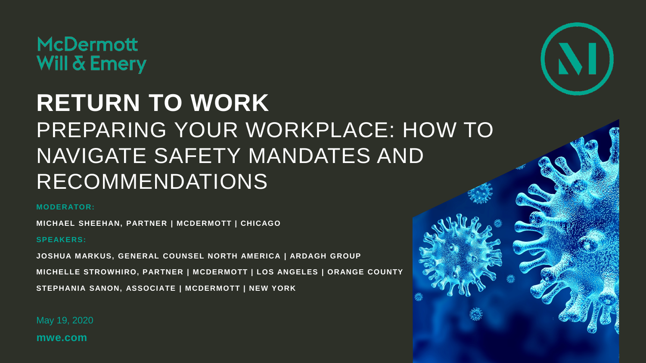**McDermott Will & Emery** 

## **RETURN TO WORK** PREPARING YOUR WORKPLACE: HOW TO NAVIGATE SAFETY MANDATES AND RECOMMENDATIONS

**MODERATOR:**

**MICHAEL SHEEHAN, PARTNER | MCDERMOTT | CHICAGO**

**SPEAKERS:**

**JOSHUA MARKUS, GENERAL COUNSEL NORTH AMERICA | ARDAGH GROUP MICHELLE STROWHIRO, PARTNER | MCDERMOTT | LOS ANGELES | ORANGE COUNTY STEPHANIA SANON, ASSOCIATE | MCDERMOTT | NEW YORK**

May 19, 2020

**mwe.com**

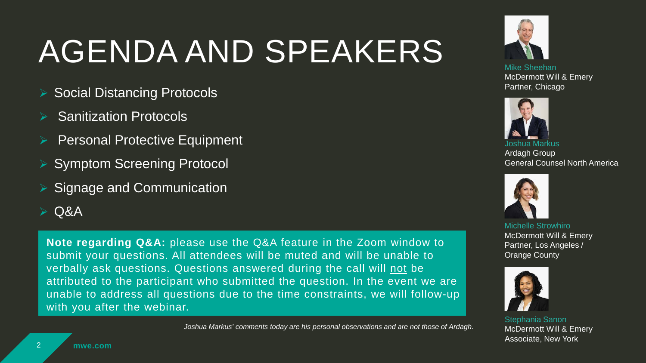## AGENDA AND SPEAKERS

- $\triangleright$  Social Distancing Protocols
- Sanitization Protocols
- Personal Protective Equipment
- ▶ Symptom Screening Protocol
- $\triangleright$  Signage and Communication
- $\triangleright$  Q&A

**Note regarding Q&A:** please use the Q&A feature in the Zoom window to submit your questions. All attendees will be muted and will be unable to verbally ask questions. Questions answered during the call will not be attributed to the participant who submitted the question. In the event we are unable to address all questions due to the time constraints, we will follow-up with you after the webinar.

*Joshua Markus' comments today are his personal observations and are not those of Ardagh.*



Mike Sheehan McDermott Will & Emery Partner, Chicago



Ardagh Group General Counsel North America



Michelle Strowhiro McDermott Will & Emery Partner, Los Angeles / Orange County



Stephania Sanon McDermott Will & Emery Associate, New York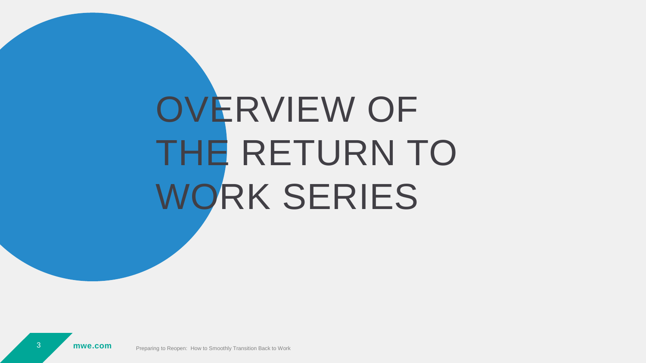## OVERVIEW OF THE RETURN TO WORK SERIES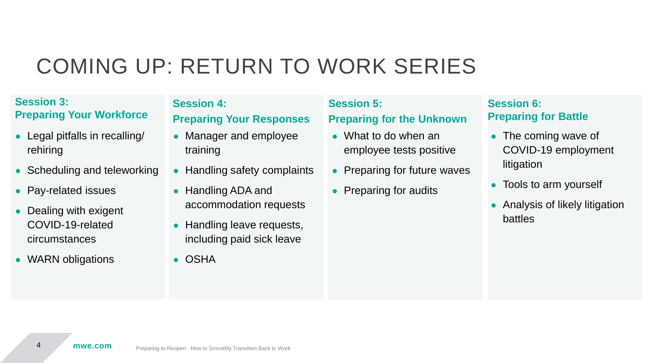### COMING UP: RETURN TO WORK SERIES

#### **Session 3: Preparing Your Workforce**

- $\bullet$  Legal pitfalls in recalling/ rehiring
- Scheduling and teleworking
- Pay-related issues
- Dealing with exigent COVID-19-related circumstances
- WARN obligations

### **Session 4: Preparing Your Responses**

- Manager and employee training
- Handling safety complaints
- Handling ADA and accommodation requests
- Handling leave requests, including paid sick leave
- OSHA

#### **Session 5: Preparing for the Unknown**

- What to do when an employee tests positive
- Preparing for future waves
- Preparing for audits

#### **Session 6: Preparing for Battle**

- The coming wave of COVID-19 employment litigation
- Tools to arm yourself
- Analysis of likely litigation battles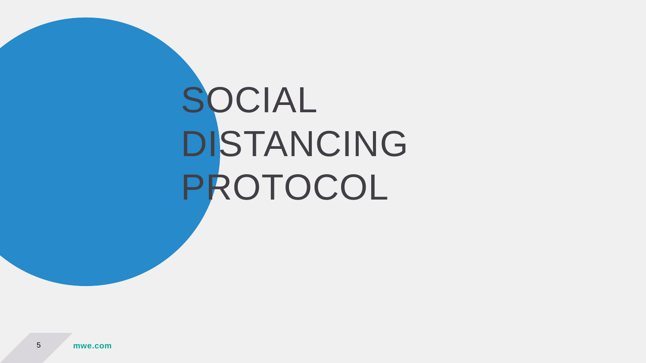## SOCIAL DISTANCING PROTOCOL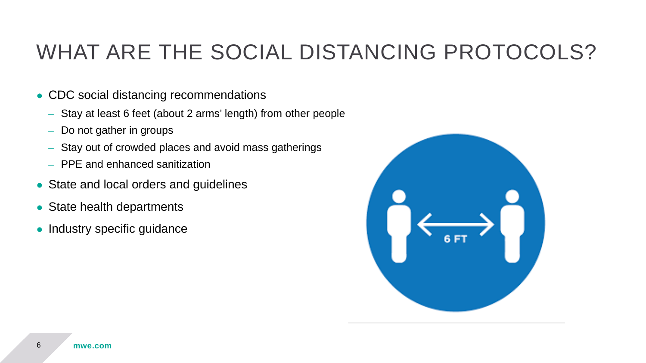### WHAT ARE THE SOCIAL DISTANCING PROTOCOLS?

- CDC social distancing recommendations
	- Stay at least 6 feet (about 2 arms' length) from other people
	- Do not gather in groups
	- Stay out of crowded places and avoid mass gatherings
	- PPE and enhanced sanitization
- State and local orders and guidelines
- State health departments
- Industry specific guidance

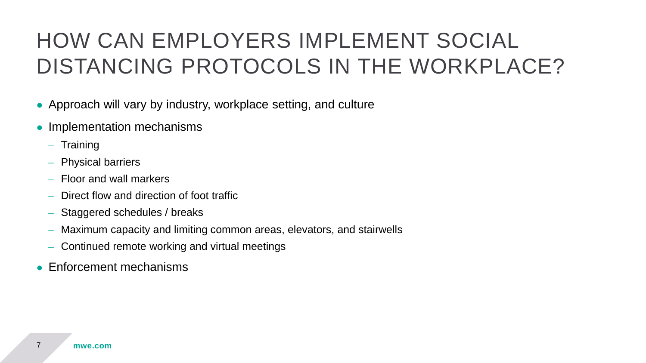## HOW CAN EMPLOYERS IMPLEMENT SOCIAL DISTANCING PROTOCOLS IN THE WORKPLACE?

- Approach will vary by industry, workplace setting, and culture
- Implementation mechanisms
	- Training
	- Physical barriers
	- Floor and wall markers
	- Direct flow and direction of foot traffic
	- Staggered schedules / breaks
	- Maximum capacity and limiting common areas, elevators, and stairwells
	- Continued remote working and virtual meetings
- Enforcement mechanisms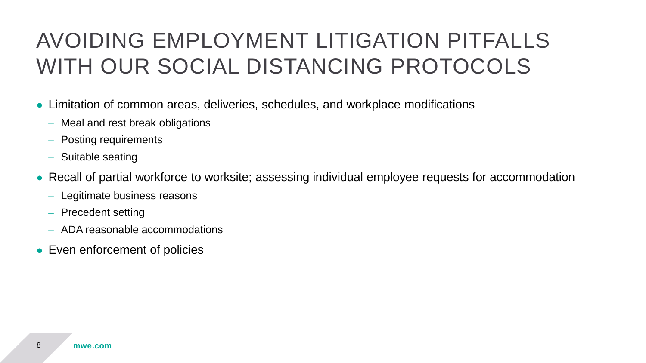## AVOIDING EMPLOYMENT LITIGATION PITFALLS WITH OUR SOCIAL DISTANCING PROTOCOLS

- Limitation of common areas, deliveries, schedules, and workplace modifications
	- Meal and rest break obligations
	- Posting requirements
	- Suitable seating
- Recall of partial workforce to worksite; assessing individual employee requests for accommodation
	- Legitimate business reasons
	- Precedent setting
	- ADA reasonable accommodations
- Even enforcement of policies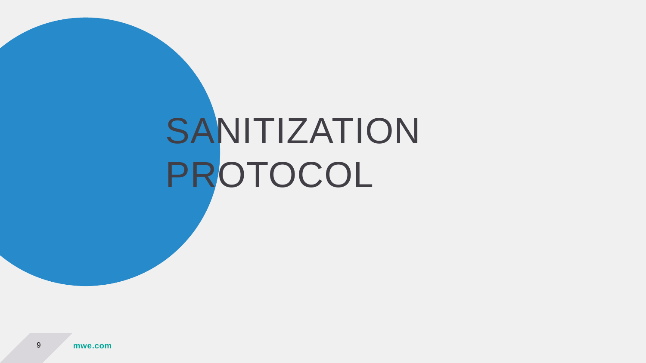## SANITIZATION PROTOCOL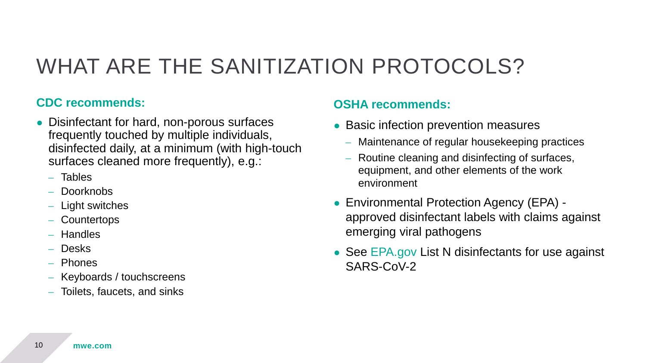## WHAT ARE THE SANITIZATION PROTOCOLS?

### **CDC recommends:**

- Disinfectant for hard, non-porous surfaces frequently touched by multiple individuals, disinfected daily, at a minimum (with high-touch surfaces cleaned more frequently), e.g.:
	- Tables
	- Doorknobs
	- Light switches
	- Countertops
	- Handles
	- Desks
	- Phones
	- Keyboards / touchscreens
	- Toilets, faucets, and sinks

### **OSHA recommends:**

- Basic infection prevention measures
	- Maintenance of regular housekeeping practices
	- Routine cleaning and disinfecting of surfaces, equipment, and other elements of the work environment
- Environmental Protection Agency (EPA) approved disinfectant labels with claims against emerging viral pathogens
- See EPA.gov List N disinfectants for use against SARS-CoV-2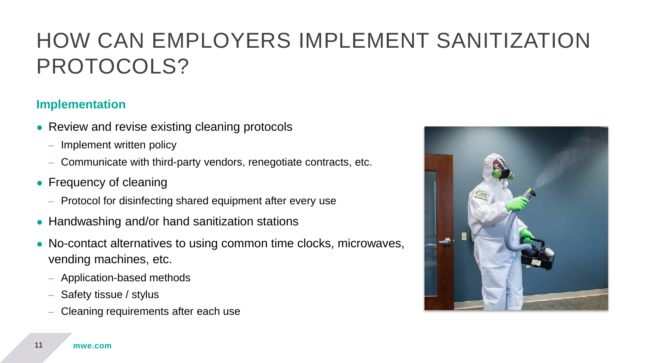## HOW CAN EMPLOYERS IMPLEMENT SANITIZATION PROTOCOLS?

### **Implementation**

- Review and revise existing cleaning protocols
	- Implement written policy
	- Communicate with third-party vendors, renegotiate contracts, etc.
- Frequency of cleaning
	- Protocol for disinfecting shared equipment after every use
- Handwashing and/or hand sanitization stations
- No-contact alternatives to using common time clocks, microwaves, vending machines, etc.
	- Application-based methods
	- Safety tissue / stylus
	- Cleaning requirements after each use

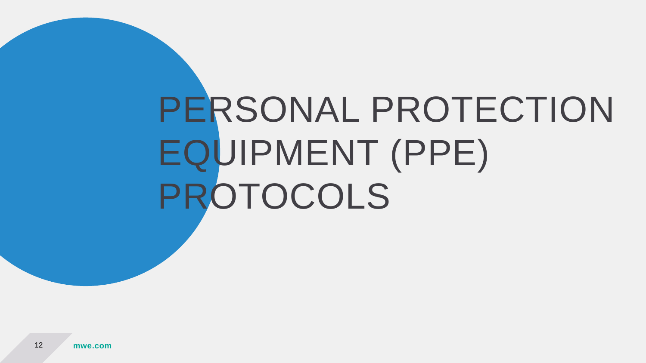## PERSONAL PROTECTION EQUIPMENT (PPE) PROTOCOLS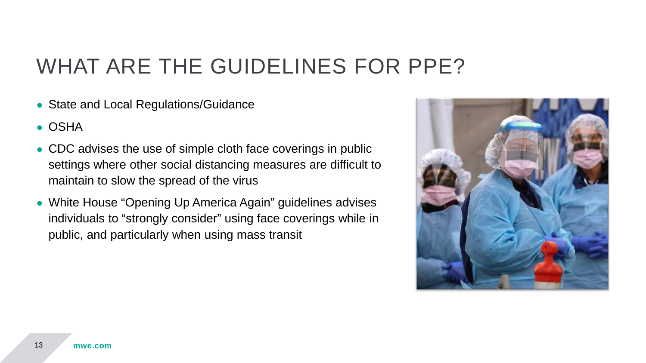### WHAT ARE THE GUIDELINES FOR PPE?

- State and Local Regulations/Guidance
- OSHA
- CDC advises the use of simple cloth face coverings in public settings where other social distancing measures are difficult to maintain to slow the spread of the virus
- White House "Opening Up America Again" guidelines advises individuals to "strongly consider" using face coverings while in public, and particularly when using mass transit

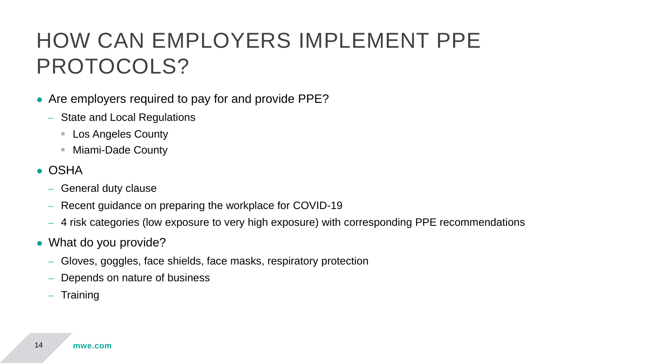## HOW CAN EMPLOYERS IMPLEMENT PPE PROTOCOLS?

- Are employers required to pay for and provide PPE?
	- State and Local Regulations
		- **Los Angeles County**
		- Miami-Dade County
- OSHA
	- General duty clause
	- Recent guidance on preparing the workplace for COVID-19
	- 4 risk categories (low exposure to very high exposure) with corresponding PPE recommendations
- What do you provide?
	- Gloves, goggles, face shields, face masks, respiratory protection
	- Depends on nature of business
	- Training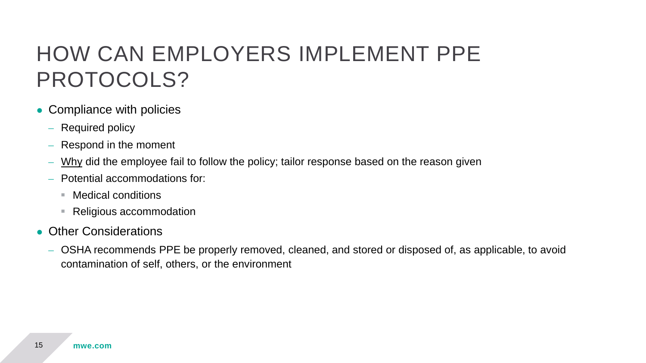### HOW CAN EMPLOYERS IMPLEMENT PPE PROTOCOLS?

- Compliance with policies
	- Required policy
	- Respond in the moment
	- Why did the employee fail to follow the policy; tailor response based on the reason given
	- Potential accommodations for:
		- Medical conditions
		- Religious accommodation
- Other Considerations
	- OSHA recommends PPE be properly removed, cleaned, and stored or disposed of, as applicable, to avoid contamination of self, others, or the environment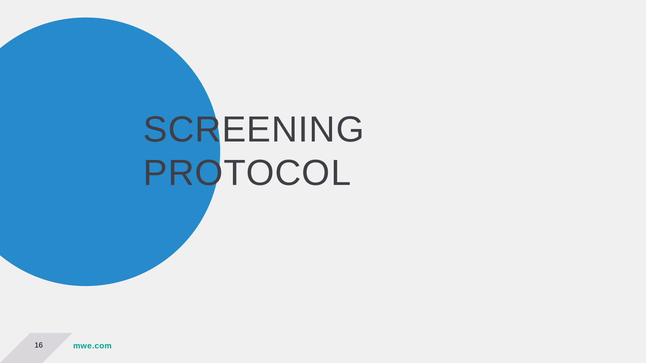# SCREENING PROTOCOL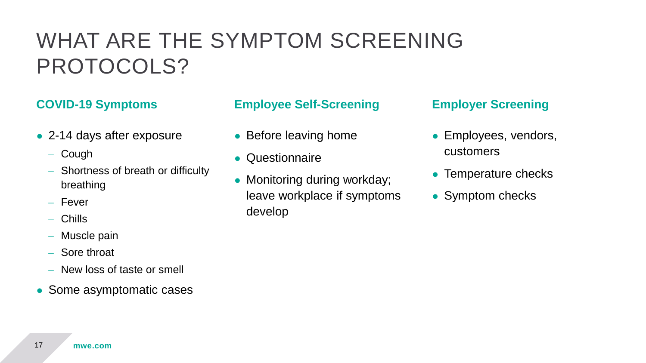## WHAT ARE THE SYMPTOM SCREENING PROTOCOLS?

- 2-14 days after exposure
	- Cough
	- Shortness of breath or difficulty breathing
	- Fever
	- Chills
	- Muscle pain
	- Sore throat
	- New loss of taste or smell
- Some asymptomatic cases

#### **COVID-19 Symptoms Employee Self-Screening Employer Screening**

- Before leaving home
- Questionnaire
- Monitoring during workday; leave workplace if symptoms develop

- Employees, vendors, customers
- Temperature checks
- Symptom checks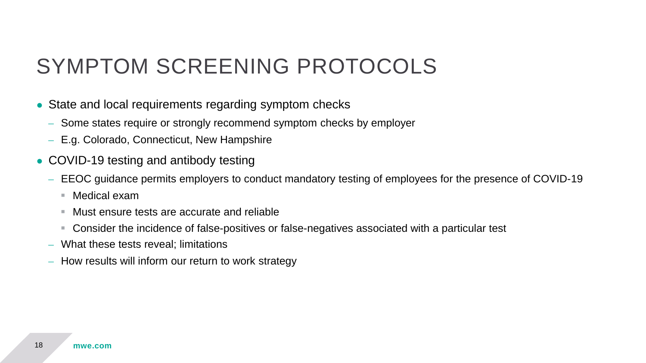### SYMPTOM SCREENING PROTOCOLS

- State and local requirements regarding symptom checks
	- Some states require or strongly recommend symptom checks by employer
	- E.g. Colorado, Connecticut, New Hampshire
- COVID-19 testing and antibody testing
	- EEOC guidance permits employers to conduct mandatory testing of employees for the presence of COVID-19
		- Medical exam
		- Must ensure tests are accurate and reliable
		- Consider the incidence of false-positives or false-negatives associated with a particular test
	- What these tests reveal; limitations
	- How results will inform our return to work strategy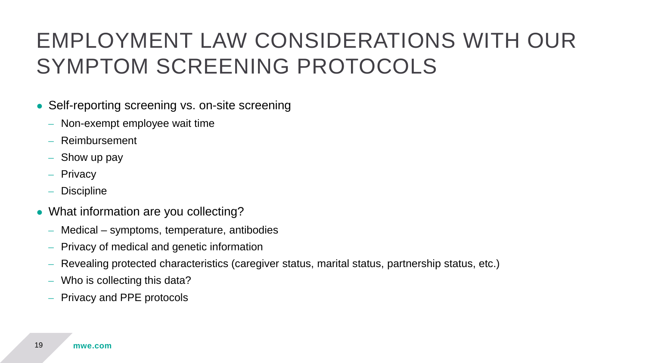## EMPLOYMENT LAW CONSIDERATIONS WITH OUR SYMPTOM SCREENING PROTOCOLS

- Self-reporting screening vs. on-site screening
	- Non-exempt employee wait time
	- Reimbursement
	- Show up pay
	- Privacy
	- **Discipline**
- What information are you collecting?
	- Medical symptoms, temperature, antibodies
	- Privacy of medical and genetic information
	- Revealing protected characteristics (caregiver status, marital status, partnership status, etc.)
	- Who is collecting this data?
	- Privacy and PPE protocols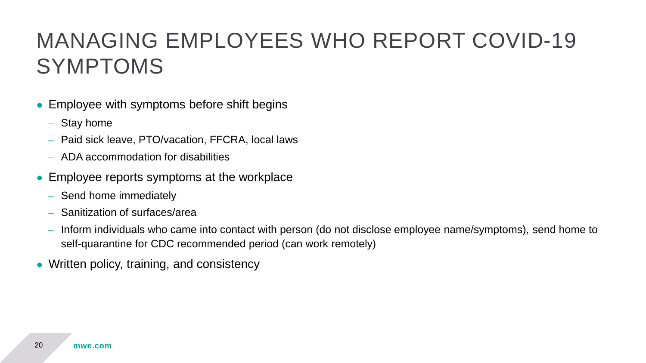## MANAGING EMPLOYEES WHO REPORT COVID-19 SYMPTOMS

- Employee with symptoms before shift begins
	- Stay home
	- Paid sick leave, PTO/vacation, FFCRA, local laws
	- ADA accommodation for disabilities
- Employee reports symptoms at the workplace
	- Send home immediately
	- Sanitization of surfaces/area
	- Inform individuals who came into contact with person (do not disclose employee name/symptoms), send home to self-quarantine for CDC recommended period (can work remotely)
- Written policy, training, and consistency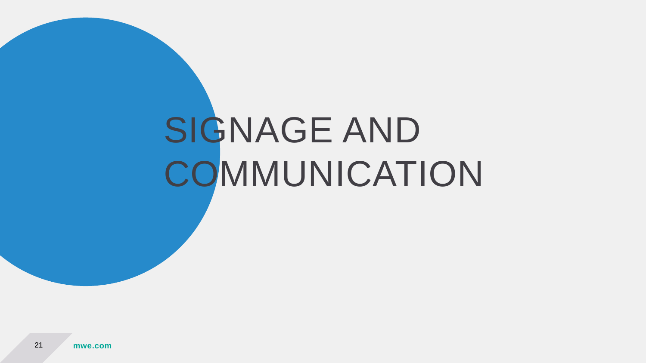# SIGNAGE AND **COMMUNICATION**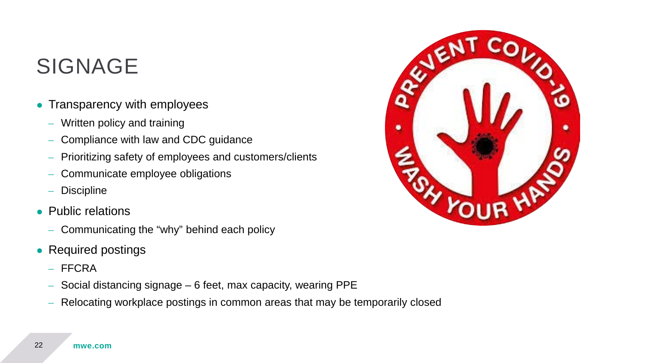### SIGNAGE

- Transparency with employees
	- Written policy and training
	- Compliance with law and CDC guidance
	- Prioritizing safety of employees and customers/clients
	- Communicate employee obligations
	- **Discipline**
- Public relations
	- Communicating the "why" behind each policy
- Required postings
	- FFCRA
	- Social distancing signage 6 feet, max capacity, wearing PPE
	- Relocating workplace postings in common areas that may be temporarily closed